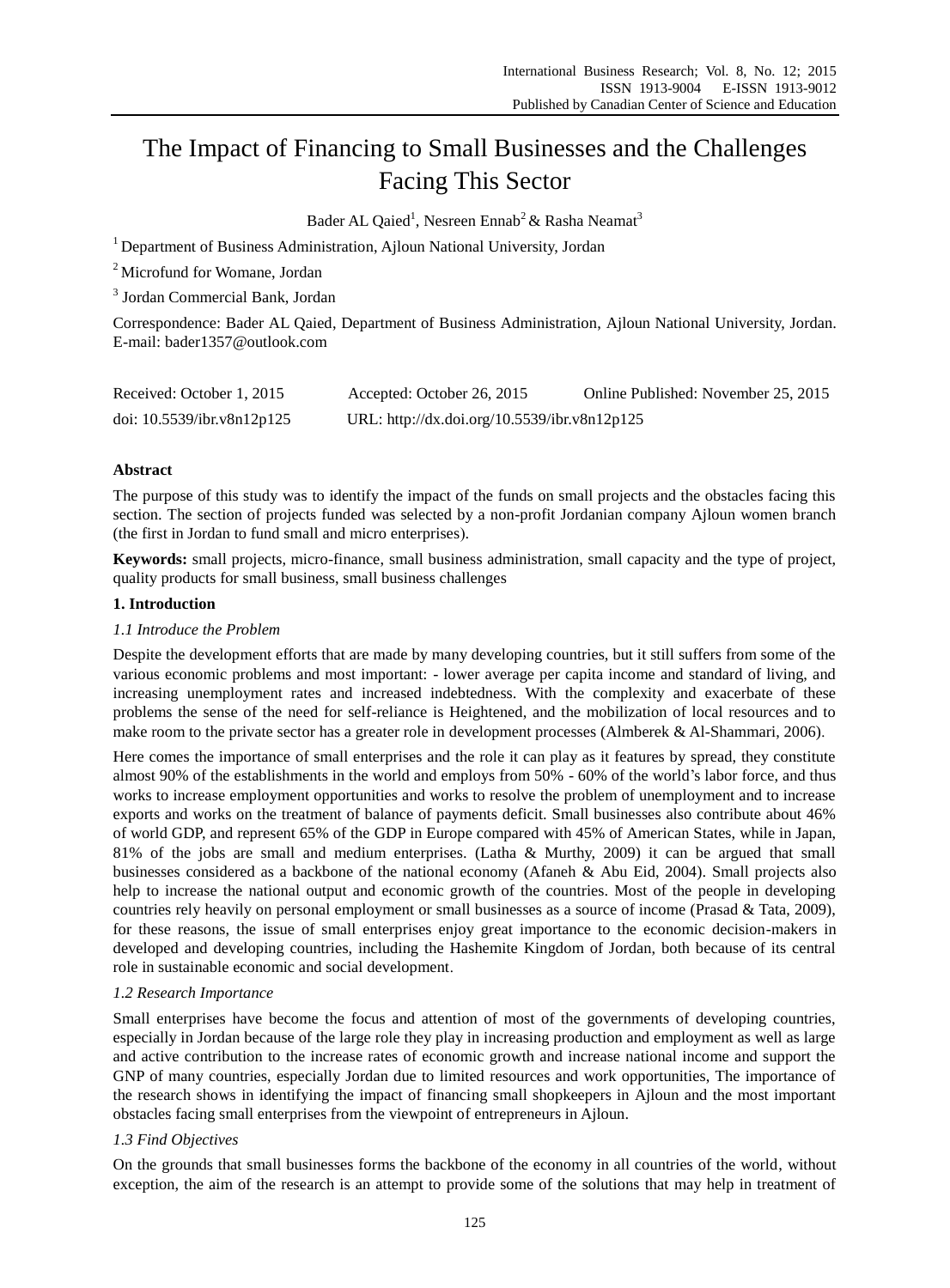# The Impact of Financing to Small Businesses and the Challenges Facing This Sector

Bader AL Qaied<sup>1</sup>, Nesreen Ennab<sup>2</sup> & Rasha Neamat<sup>3</sup>

<sup>1</sup> Department of Business Administration, Ajloun National University, Jordan

<sup>2</sup> Microfund for Womane, Jordan

3 Jordan Commercial Bank, Jordan

Correspondence: Bader AL Qaied, Department of Business Administration, Ajloun National University, Jordan. E-mail: bader1357@outlook.com

| Received: October 1, 2015  | Accepted: October 26, 2015                   | Online Published: November 25, 2015 |
|----------------------------|----------------------------------------------|-------------------------------------|
| doi: 10.5539/ibr.v8n12p125 | URL: http://dx.doi.org/10.5539/ibr.v8n12p125 |                                     |

# **Abstract**

The purpose of this study was to identify the impact of the funds on small projects and the obstacles facing this section. The section of projects funded was selected by a non-profit Jordanian company Ajloun women branch (the first in Jordan to fund small and micro enterprises).

**Keywords:** small projects, micro-finance, small business administration, small capacity and the type of project, quality products for small business, small business challenges

# **1. Introduction**

### *1.1 Introduce the Problem*

Despite the development efforts that are made by many developing countries, but it still suffers from some of the various economic problems and most important: - lower average per capita income and standard of living, and increasing unemployment rates and increased indebtedness. With the complexity and exacerbate of these problems the sense of the need for self-reliance is Heightened, and the mobilization of local resources and to make room to the private sector has a greater role in development processes (Almberek & Al-Shammari, 2006).

Here comes the importance of small enterprises and the role it can play as it features by spread, they constitute almost 90% of the establishments in the world and employs from 50% - 60% of the world's labor force, and thus works to increase employment opportunities and works to resolve the problem of unemployment and to increase exports and works on the treatment of balance of payments deficit. Small businesses also contribute about 46% of world GDP, and represent 65% of the GDP in Europe compared with 45% of American States, while in Japan, 81% of the jobs are small and medium enterprises. (Latha & Murthy, 2009) it can be argued that small businesses considered as a backbone of the national economy (Afaneh & Abu Eid, 2004). Small projects also help to increase the national output and economic growth of the countries. Most of the people in developing countries rely heavily on personal employment or small businesses as a source of income (Prasad & Tata, 2009), for these reasons, the issue of small enterprises enjoy great importance to the economic decision-makers in developed and developing countries, including the Hashemite Kingdom of Jordan, both because of its central role in sustainable economic and social development.

# *1.2 Research Importance*

Small enterprises have become the focus and attention of most of the governments of developing countries, especially in Jordan because of the large role they play in increasing production and employment as well as large and active contribution to the increase rates of economic growth and increase national income and support the GNP of many countries, especially Jordan due to limited resources and work opportunities, The importance of the research shows in identifying the impact of financing small shopkeepers in Ajloun and the most important obstacles facing small enterprises from the viewpoint of entrepreneurs in Ajloun.

# *1.3 Find Objectives*

On the grounds that small businesses forms the backbone of the economy in all countries of the world, without exception, the aim of the research is an attempt to provide some of the solutions that may help in treatment of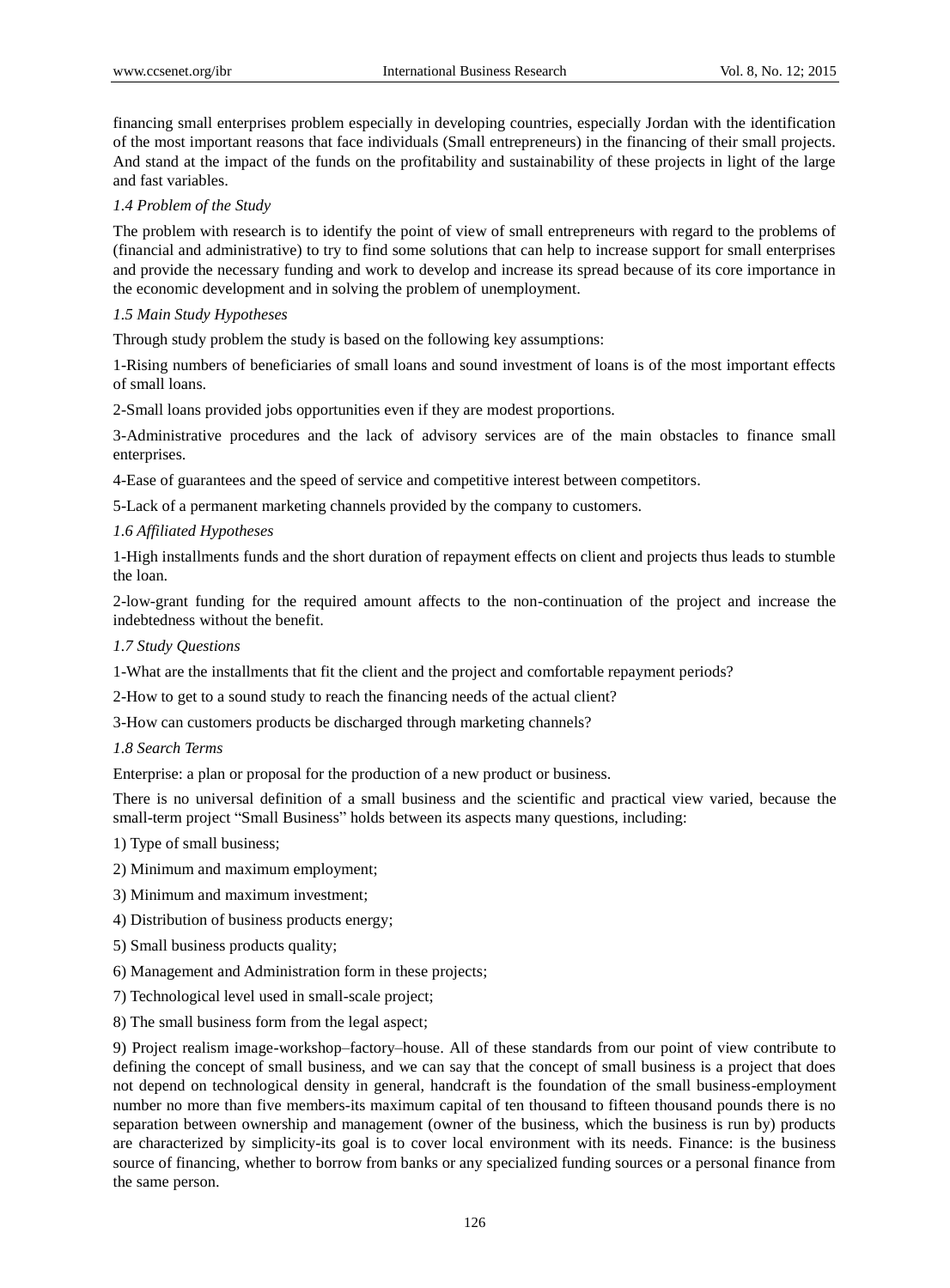financing small enterprises problem especially in developing countries, especially Jordan with the identification of the most important reasons that face individuals (Small entrepreneurs) in the financing of their small projects. And stand at the impact of the funds on the profitability and sustainability of these projects in light of the large and fast variables.

# *1.4 Problem of the Study*

The problem with research is to identify the point of view of small entrepreneurs with regard to the problems of (financial and administrative) to try to find some solutions that can help to increase support for small enterprises and provide the necessary funding and work to develop and increase its spread because of its core importance in the economic development and in solving the problem of unemployment.

# *1.5 Main Study Hypotheses*

Through study problem the study is based on the following key assumptions:

1-Rising numbers of beneficiaries of small loans and sound investment of loans is of the most important effects of small loans.

2-Small loans provided jobs opportunities even if they are modest proportions.

3-Administrative procedures and the lack of advisory services are of the main obstacles to finance small enterprises.

4-Ease of guarantees and the speed of service and competitive interest between competitors.

5-Lack of a permanent marketing channels provided by the company to customers.

# *1.6 Affiliated Hypotheses*

1-High installments funds and the short duration of repayment effects on client and projects thus leads to stumble the loan.

2-low-grant funding for the required amount affects to the non-continuation of the project and increase the indebtedness without the benefit.

# *1.7 Study Questions*

1-What are the installments that fit the client and the project and comfortable repayment periods?

2-How to get to a sound study to reach the financing needs of the actual client?

3-How can customers products be discharged through marketing channels?

# *1.8 Search Terms*

Enterprise: a plan or proposal for the production of a new product or business.

There is no universal definition of a small business and the scientific and practical view varied, because the small-term project "Small Business" holds between its aspects many questions, including:

1) Type of small business;

- 2) Minimum and maximum employment;
- 3) Minimum and maximum investment;
- 4) Distribution of business products energy;
- 5) Small business products quality;
- 6) Management and Administration form in these projects;
- 7) Technological level used in small-scale project;
- 8) The small business form from the legal aspect;

9) Project realism image-workshop–factory–house. All of these standards from our point of view contribute to defining the concept of small business, and we can say that the concept of small business is a project that does not depend on technological density in general, handcraft is the foundation of the small business-employment number no more than five members-its maximum capital of ten thousand to fifteen thousand pounds there is no separation between ownership and management (owner of the business, which the business is run by) products are characterized by simplicity-its goal is to cover local environment with its needs. Finance: is the business source of financing, whether to borrow from banks or any specialized funding sources or a personal finance from the same person.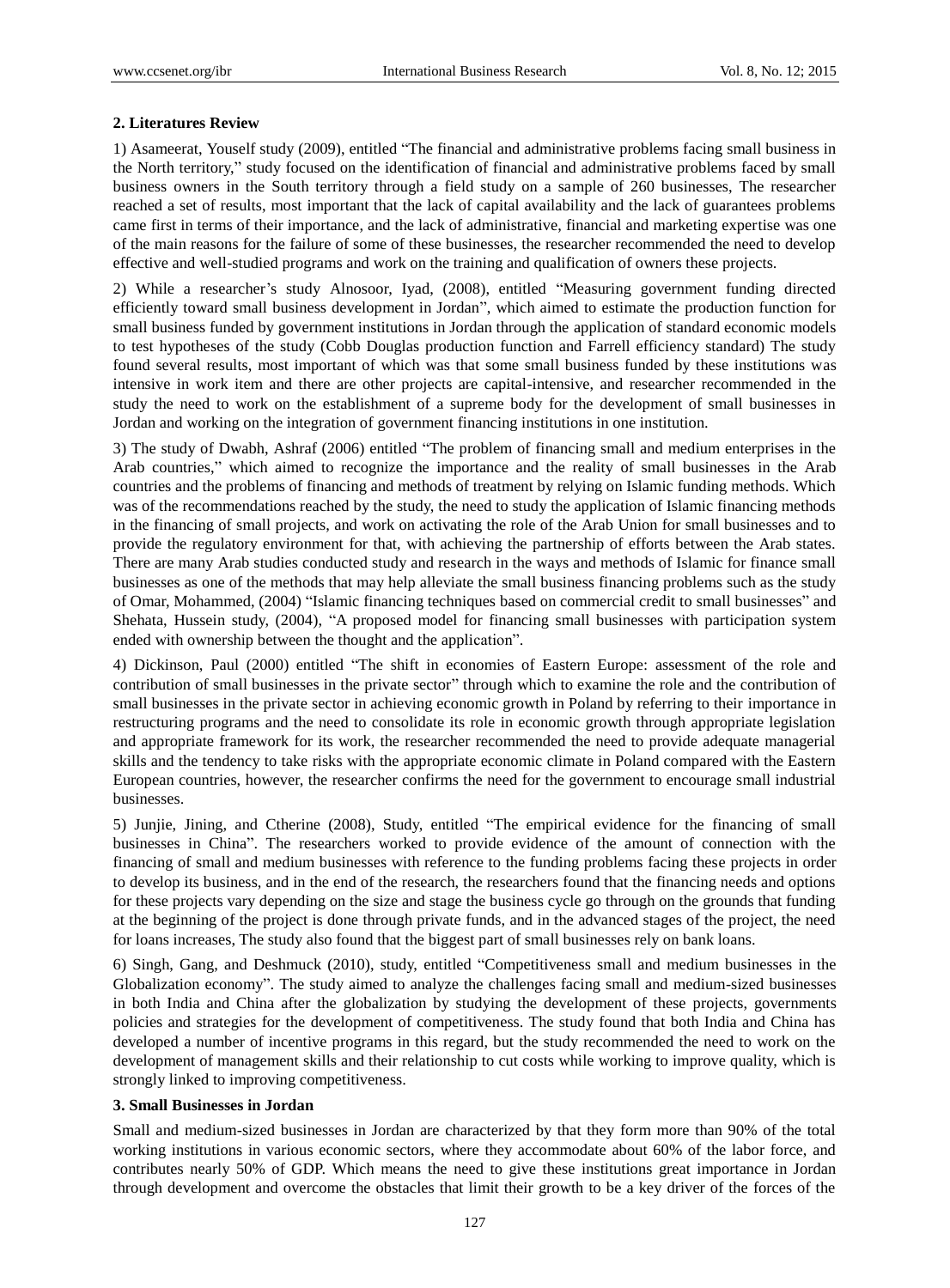# **2. Literatures Review**

1) Asameerat, Youself study (2009), entitled "The financial and administrative problems facing small business in the North territory," study focused on the identification of financial and administrative problems faced by small business owners in the South territory through a field study on a sample of 260 businesses, The researcher reached a set of results, most important that the lack of capital availability and the lack of guarantees problems came first in terms of their importance, and the lack of administrative, financial and marketing expertise was one of the main reasons for the failure of some of these businesses, the researcher recommended the need to develop effective and well-studied programs and work on the training and qualification of owners these projects.

2) While a researcher's study Alnosoor, Iyad, (2008), entitled "Measuring government funding directed efficiently toward small business development in Jordan", which aimed to estimate the production function for small business funded by government institutions in Jordan through the application of standard economic models to test hypotheses of the study (Cobb Douglas production function and Farrell efficiency standard) The study found several results, most important of which was that some small business funded by these institutions was intensive in work item and there are other projects are capital-intensive, and researcher recommended in the study the need to work on the establishment of a supreme body for the development of small businesses in Jordan and working on the integration of government financing institutions in one institution.

3) The study of Dwabh, Ashraf (2006) entitled "The problem of financing small and medium enterprises in the Arab countries," which aimed to recognize the importance and the reality of small businesses in the Arab countries and the problems of financing and methods of treatment by relying on Islamic funding methods. Which was of the recommendations reached by the study, the need to study the application of Islamic financing methods in the financing of small projects, and work on activating the role of the Arab Union for small businesses and to provide the regulatory environment for that, with achieving the partnership of efforts between the Arab states. There are many Arab studies conducted study and research in the ways and methods of Islamic for finance small businesses as one of the methods that may help alleviate the small business financing problems such as the study of Omar, Mohammed, (2004) "Islamic financing techniques based on commercial credit to small businesses" and Shehata, Hussein study, (2004), "A proposed model for financing small businesses with participation system ended with ownership between the thought and the application".

4) Dickinson, Paul (2000) entitled "The shift in economies of Eastern Europe: assessment of the role and contribution of small businesses in the private sector" through which to examine the role and the contribution of small businesses in the private sector in achieving economic growth in Poland by referring to their importance in restructuring programs and the need to consolidate its role in economic growth through appropriate legislation and appropriate framework for its work, the researcher recommended the need to provide adequate managerial skills and the tendency to take risks with the appropriate economic climate in Poland compared with the Eastern European countries, however, the researcher confirms the need for the government to encourage small industrial businesses.

5) Junjie, Jining, and Ctherine (2008), Study, entitled "The empirical evidence for the financing of small businesses in China". The researchers worked to provide evidence of the amount of connection with the financing of small and medium businesses with reference to the funding problems facing these projects in order to develop its business, and in the end of the research, the researchers found that the financing needs and options for these projects vary depending on the size and stage the business cycle go through on the grounds that funding at the beginning of the project is done through private funds, and in the advanced stages of the project, the need for loans increases, The study also found that the biggest part of small businesses rely on bank loans.

6) Singh, Gang, and Deshmuck (2010), study, entitled "Competitiveness small and medium businesses in the Globalization economy". The study aimed to analyze the challenges facing small and medium-sized businesses in both India and China after the globalization by studying the development of these projects, governments policies and strategies for the development of competitiveness. The study found that both India and China has developed a number of incentive programs in this regard, but the study recommended the need to work on the development of management skills and their relationship to cut costs while working to improve quality, which is strongly linked to improving competitiveness.

# **3. Small Businesses in Jordan**

Small and medium-sized businesses in Jordan are characterized by that they form more than 90% of the total working institutions in various economic sectors, where they accommodate about 60% of the labor force, and contributes nearly 50% of GDP. Which means the need to give these institutions great importance in Jordan through development and overcome the obstacles that limit their growth to be a key driver of the forces of the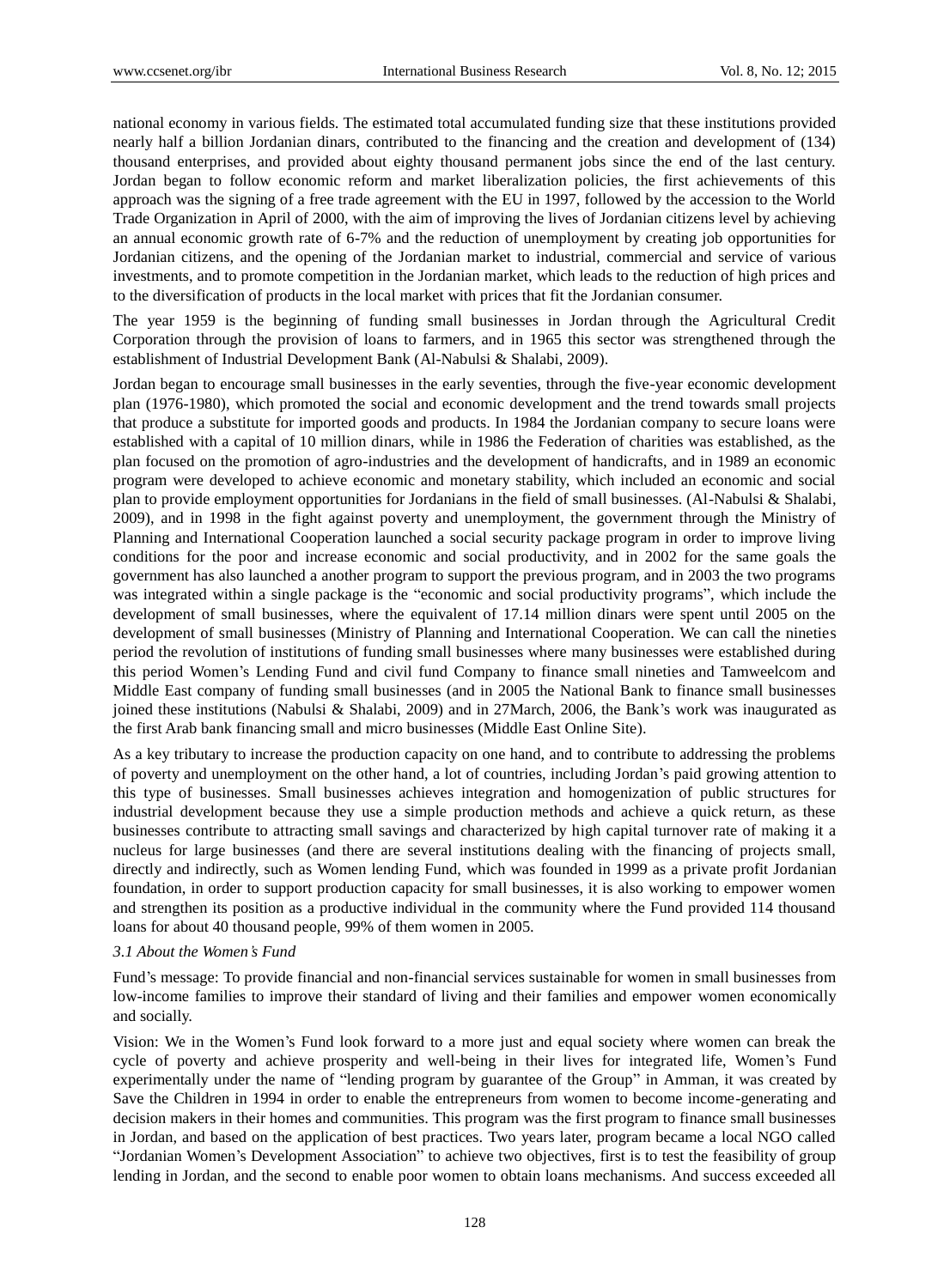national economy in various fields. The estimated total accumulated funding size that these institutions provided nearly half a billion Jordanian dinars, contributed to the financing and the creation and development of (134) thousand enterprises, and provided about eighty thousand permanent jobs since the end of the last century. Jordan began to follow economic reform and market liberalization policies, the first achievements of this approach was the signing of a free trade agreement with the EU in 1997, followed by the accession to the World Trade Organization in April of 2000, with the aim of improving the lives of Jordanian citizens level by achieving an annual economic growth rate of 6-7% and the reduction of unemployment by creating job opportunities for Jordanian citizens, and the opening of the Jordanian market to industrial, commercial and service of various investments, and to promote competition in the Jordanian market, which leads to the reduction of high prices and to the diversification of products in the local market with prices that fit the Jordanian consumer.

The year 1959 is the beginning of funding small businesses in Jordan through the Agricultural Credit Corporation through the provision of loans to farmers, and in 1965 this sector was strengthened through the establishment of Industrial Development Bank (Al-Nabulsi & Shalabi, 2009).

Jordan began to encourage small businesses in the early seventies, through the five-year economic development plan (1976-1980), which promoted the social and economic development and the trend towards small projects that produce a substitute for imported goods and products. In 1984 the Jordanian company to secure loans were established with a capital of 10 million dinars, while in 1986 the Federation of charities was established, as the plan focused on the promotion of agro-industries and the development of handicrafts, and in 1989 an economic program were developed to achieve economic and monetary stability, which included an economic and social plan to provide employment opportunities for Jordanians in the field of small businesses. (Al-Nabulsi & Shalabi, 2009), and in 1998 in the fight against poverty and unemployment, the government through the Ministry of Planning and International Cooperation launched a social security package program in order to improve living conditions for the poor and increase economic and social productivity, and in 2002 for the same goals the government has also launched a another program to support the previous program, and in 2003 the two programs was integrated within a single package is the "economic and social productivity programs", which include the development of small businesses, where the equivalent of 17.14 million dinars were spent until 2005 on the development of small businesses (Ministry of Planning and International Cooperation. We can call the nineties period the revolution of institutions of funding small businesses where many businesses were established during this period Women's Lending Fund and civil fund Company to finance small nineties and Tamweelcom and Middle East company of funding small businesses (and in 2005 the National Bank to finance small businesses joined these institutions (Nabulsi & Shalabi, 2009) and in 27March, 2006, the Bank's work was inaugurated as the first Arab bank financing small and micro businesses (Middle East Online Site).

As a key tributary to increase the production capacity on one hand, and to contribute to addressing the problems of poverty and unemployment on the other hand, a lot of countries, including Jordan's paid growing attention to this type of businesses. Small businesses achieves integration and homogenization of public structures for industrial development because they use a simple production methods and achieve a quick return, as these businesses contribute to attracting small savings and characterized by high capital turnover rate of making it a nucleus for large businesses (and there are several institutions dealing with the financing of projects small, directly and indirectly, such as Women lending Fund, which was founded in 1999 as a private profit Jordanian foundation, in order to support production capacity for small businesses, it is also working to empower women and strengthen its position as a productive individual in the community where the Fund provided 114 thousand loans for about 40 thousand people, 99% of them women in 2005.

#### *3.1 About the Women's Fund*

Fund's message: To provide financial and non-financial services sustainable for women in small businesses from low-income families to improve their standard of living and their families and empower women economically and socially.

Vision: We in the Women's Fund look forward to a more just and equal society where women can break the cycle of poverty and achieve prosperity and well-being in their lives for integrated life, Women's Fund experimentally under the name of "lending program by guarantee of the Group" in Amman, it was created by Save the Children in 1994 in order to enable the entrepreneurs from women to become income-generating and decision makers in their homes and communities. This program was the first program to finance small businesses in Jordan, and based on the application of best practices. Two years later, program became a local NGO called "Jordanian Women's Development Association" to achieve two objectives, first is to test the feasibility of group lending in Jordan, and the second to enable poor women to obtain loans mechanisms. And success exceeded all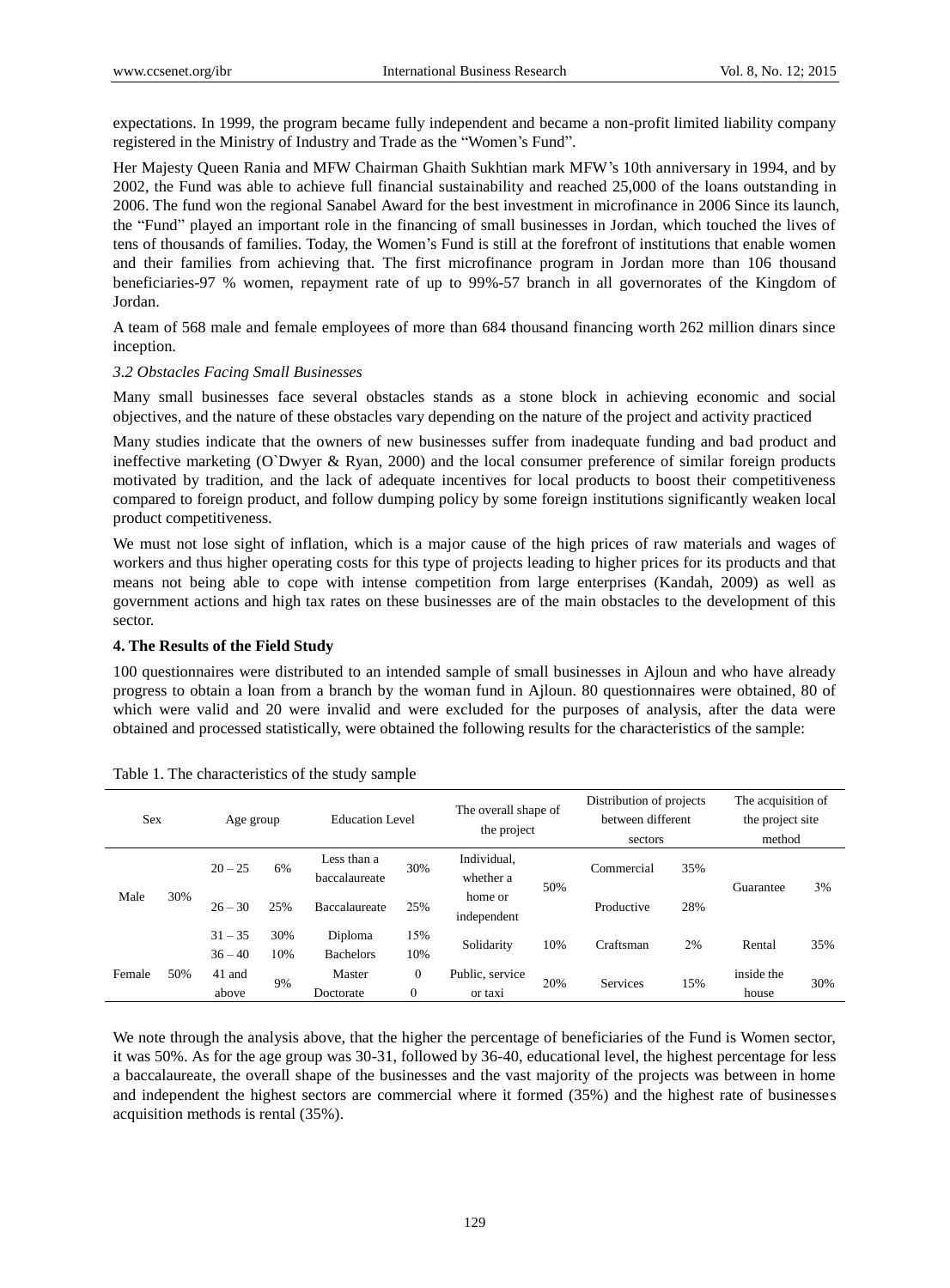expectations. In 1999, the program became fully independent and became a non-profit limited liability company registered in the Ministry of Industry and Trade as the "Women's Fund".

Her Majesty Queen Rania and MFW Chairman Ghaith Sukhtian mark MFW's 10th anniversary in 1994, and by 2002, the Fund was able to achieve full financial sustainability and reached 25,000 of the loans outstanding in 2006. The fund won the regional Sanabel Award for the best investment in microfinance in 2006 Since its launch, the "Fund" played an important role in the financing of small businesses in Jordan, which touched the lives of tens of thousands of families. Today, the Women's Fund is still at the forefront of institutions that enable women and their families from achieving that. The first microfinance program in Jordan more than 106 thousand beneficiaries-97 % women, repayment rate of up to 99%-57 branch in all governorates of the Kingdom of Jordan.

A team of 568 male and female employees of more than 684 thousand financing worth 262 million dinars since inception.

#### *3.2 Obstacles Facing Small Businesses*

Many small businesses face several obstacles stands as a stone block in achieving economic and social objectives, and the nature of these obstacles vary depending on the nature of the project and activity practiced

Many studies indicate that the owners of new businesses suffer from inadequate funding and bad product and ineffective marketing (O`Dwyer & Ryan, 2000) and the local consumer preference of similar foreign products motivated by tradition, and the lack of adequate incentives for local products to boost their competitiveness compared to foreign product, and follow dumping policy by some foreign institutions significantly weaken local product competitiveness.

We must not lose sight of inflation, which is a major cause of the high prices of raw materials and wages of workers and thus higher operating costs for this type of projects leading to higher prices for its products and that means not being able to cope with intense competition from large enterprises (Kandah, 2009) as well as government actions and high tax rates on these businesses are of the main obstacles to the development of this sector.

#### **4. The Results of the Field Study**

100 questionnaires were distributed to an intended sample of small businesses in Ajloun and who have already progress to obtain a loan from a branch by the woman fund in Ajloun. 80 questionnaires were obtained, 80 of which were valid and 20 were invalid and were excluded for the purposes of analysis, after the data were obtained and processed statistically, were obtained the following results for the characteristics of the sample:

| <b>Sex</b> |     | Age group |     | <b>Education Level</b>       |              | The overall shape of<br>the project |     | Distribution of projects<br>between different<br>sectors |     | The acquisition of<br>the project site<br>method |     |
|------------|-----|-----------|-----|------------------------------|--------------|-------------------------------------|-----|----------------------------------------------------------|-----|--------------------------------------------------|-----|
| Male       |     | $20 - 25$ | 6%  | Less than a<br>baccalaureate | 30%          | Individual,<br>whether a            | 50% | Commercial                                               | 35% | Guarantee                                        | 3%  |
|            | 30% | $26 - 30$ | 25% | Baccalaureate                | 25%          | home or<br>independent              |     | Productive                                               | 28% |                                                  |     |
|            |     | $31 - 35$ | 30% | Diploma                      | 15%          | Solidarity                          | 10% | Craftsman                                                | 2%  | Rental                                           | 35% |
| Female     |     | $36 - 40$ | 10% | <b>Bachelors</b>             | 10%          |                                     |     |                                                          |     |                                                  |     |
|            | 50% | 41 and    | 9%  | Master                       | $\mathbf{0}$ | Public, service<br>or taxi          | 20% | <b>Services</b>                                          | 15% | inside the                                       | 30% |
|            |     | above     |     | Doctorate                    | 0            |                                     |     |                                                          |     | house                                            |     |

Table 1. The characteristics of the study sample

We note through the analysis above, that the higher the percentage of beneficiaries of the Fund is Women sector, it was 50%. As for the age group was 30-31, followed by 36-40, educational level, the highest percentage for less a baccalaureate, the overall shape of the businesses and the vast majority of the projects was between in home and independent the highest sectors are commercial where it formed (35%) and the highest rate of businesses acquisition methods is rental (35%).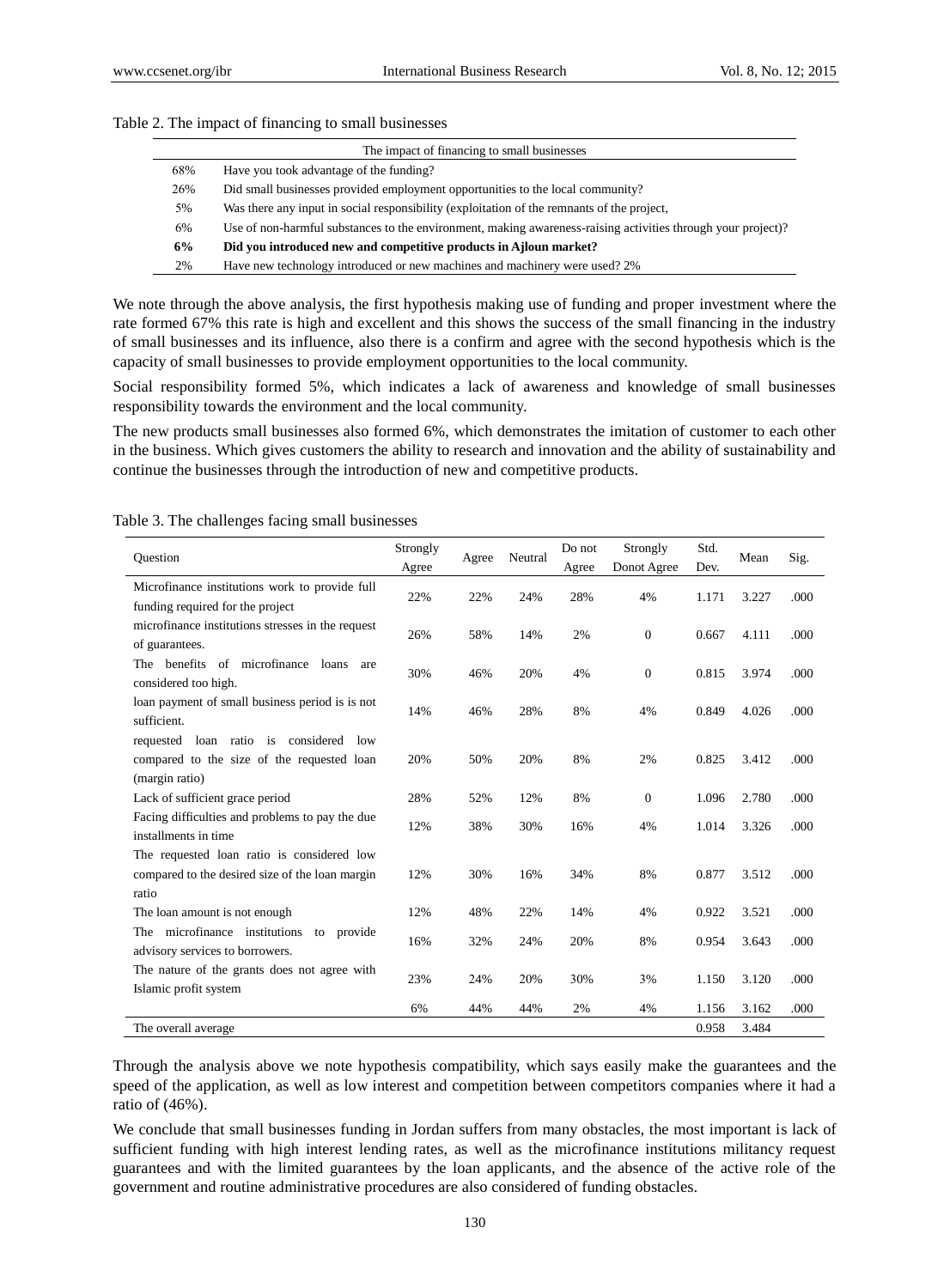|     | The impact of financing to small businesses                                                                  |
|-----|--------------------------------------------------------------------------------------------------------------|
| 68% | Have you took advantage of the funding?                                                                      |
| 26% | Did small businesses provided employment opportunities to the local community?                               |
| 5%  | Was there any input in social responsibility (exploitation of the remnants of the project,                   |
| 6%  | Use of non-harmful substances to the environment, making awareness-raising activities through your project)? |
| 6%  | Did you introduced new and competitive products in Ajloun market?                                            |
| 2%  | Have new technology introduced or new machines and machinery were used? 2%                                   |

#### Table 2. The impact of financing to small businesses

We note through the above analysis, the first hypothesis making use of funding and proper investment where the rate formed 67% this rate is high and excellent and this shows the success of the small financing in the industry of small businesses and its influence, also there is a confirm and agree with the second hypothesis which is the capacity of small businesses to provide employment opportunities to the local community.

Social responsibility formed 5%, which indicates a lack of awareness and knowledge of small businesses responsibility towards the environment and the local community.

The new products small businesses also formed 6%, which demonstrates the imitation of customer to each other in the business. Which gives customers the ability to research and innovation and the ability of sustainability and continue the businesses through the introduction of new and competitive products.

| Ouestion                                          | Strongly | Agree | Neutral | Do not      | Strongly     | Std.  | Mean  | Sig. |
|---------------------------------------------------|----------|-------|---------|-------------|--------------|-------|-------|------|
|                                                   | Agree    |       | Agree   | Donot Agree | Dev.         |       |       |      |
| Microfinance institutions work to provide full    | 22%      | 22%   | 24%     | 28%         | 4%           | 1.171 | 3.227 | .000 |
| funding required for the project                  |          |       |         |             |              |       |       |      |
| microfinance institutions stresses in the request | 26%      | 58%   | 14%     | 2%          | $\mathbf{0}$ | 0.667 | 4.111 | .000 |
| of guarantees.                                    |          |       |         |             |              |       |       |      |
| The benefits of microfinance<br>loans<br>are      | 30%      | 46%   | 20%     | 4%          | $\mathbf{0}$ | 0.815 | 3.974 | .000 |
| considered too high.                              |          |       |         |             |              |       |       |      |
| loan payment of small business period is is not   | 14%      | 46%   | 28%     | 8%          | 4%           | 0.849 | 4.026 | .000 |
| sufficient.                                       |          |       |         |             |              |       |       |      |
| loan ratio is considered<br>requested<br>low      |          |       |         |             |              |       |       |      |
| compared to the size of the requested loan        | 20%      | 50%   | 20%     | 8%          | 2%           | 0.825 | 3.412 | .000 |
| (margin ratio)                                    |          |       |         |             |              |       |       |      |
| Lack of sufficient grace period                   | 28%      | 52%   | 12%     | 8%          | $\mathbf{0}$ | 1.096 | 2.780 | .000 |
| Facing difficulties and problems to pay the due   | 12%      | 38%   | 30%     | 16%         | 4%           | 1.014 | 3.326 | .000 |
| installments in time                              |          |       |         |             |              |       |       |      |
| The requested loan ratio is considered low        |          |       |         |             |              |       |       |      |
| compared to the desired size of the loan margin   | 12%      | 30%   | 16%     | 34%         | 8%           | 0.877 | 3.512 | .000 |
| ratio                                             |          |       |         |             |              |       |       |      |
| The loan amount is not enough                     | 12%      | 48%   | 22%     | 14%         | 4%           | 0.922 | 3.521 | .000 |
| The microfinance institutions to provide          | 16%      | 32%   | 24%     | 20%         | 8%           | 0.954 | 3.643 | .000 |
| advisory services to borrowers.                   |          |       |         |             |              |       |       |      |
| The nature of the grants does not agree with      | 23%      | 24%   | 20%     | 30%         | 3%           | 1.150 | 3.120 | .000 |
| Islamic profit system                             |          |       |         |             |              |       |       |      |
|                                                   | 6%       | 44%   | 44%     | 2%          | 4%           | 1.156 | 3.162 | .000 |
| The overall average                               |          |       |         |             |              | 0.958 | 3.484 |      |

Table 3. The challenges facing small businesses

Through the analysis above we note hypothesis compatibility, which says easily make the guarantees and the speed of the application, as well as low interest and competition between competitors companies where it had a ratio of (46%).

We conclude that small businesses funding in Jordan suffers from many obstacles, the most important is lack of sufficient funding with high interest lending rates, as well as the microfinance institutions militancy request guarantees and with the limited guarantees by the loan applicants, and the absence of the active role of the government and routine administrative procedures are also considered of funding obstacles.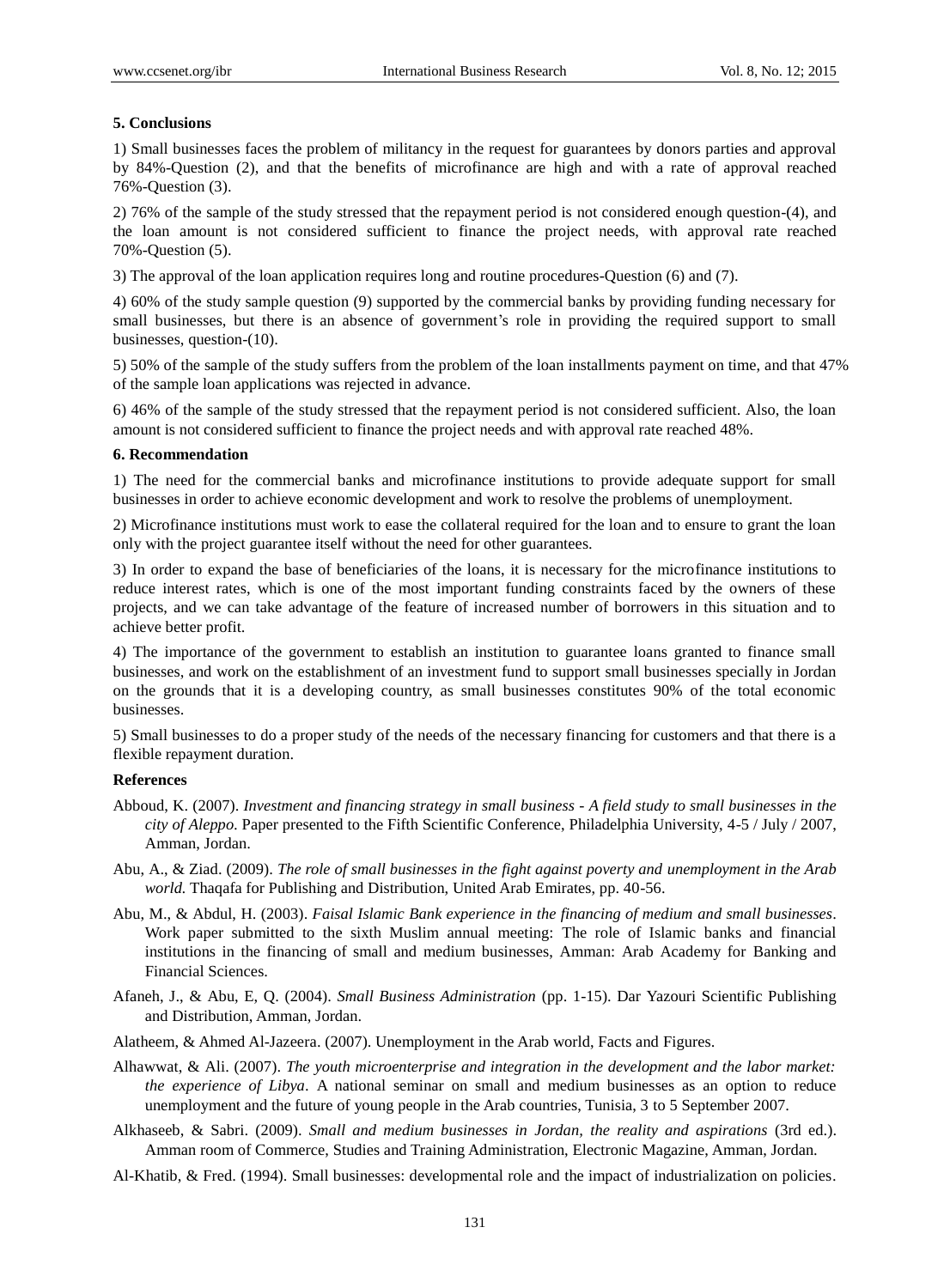## **5. Conclusions**

1) Small businesses faces the problem of militancy in the request for guarantees by donors parties and approval by 84%-Question (2), and that the benefits of microfinance are high and with a rate of approval reached 76%-Question (3).

2) 76% of the sample of the study stressed that the repayment period is not considered enough question-(4), and the loan amount is not considered sufficient to finance the project needs, with approval rate reached 70%-Question (5).

3) The approval of the loan application requires long and routine procedures-Question (6) and (7).

4) 60% of the study sample question (9) supported by the commercial banks by providing funding necessary for small businesses, but there is an absence of government's role in providing the required support to small businesses, question-(10).

5) 50% of the sample of the study suffers from the problem of the loan installments payment on time, and that 47% of the sample loan applications was rejected in advance.

6) 46% of the sample of the study stressed that the repayment period is not considered sufficient. Also, the loan amount is not considered sufficient to finance the project needs and with approval rate reached 48%.

#### **6. Recommendation**

1) The need for the commercial banks and microfinance institutions to provide adequate support for small businesses in order to achieve economic development and work to resolve the problems of unemployment.

2) Microfinance institutions must work to ease the collateral required for the loan and to ensure to grant the loan only with the project guarantee itself without the need for other guarantees.

3) In order to expand the base of beneficiaries of the loans, it is necessary for the microfinance institutions to reduce interest rates, which is one of the most important funding constraints faced by the owners of these projects, and we can take advantage of the feature of increased number of borrowers in this situation and to achieve better profit.

4) The importance of the government to establish an institution to guarantee loans granted to finance small businesses, and work on the establishment of an investment fund to support small businesses specially in Jordan on the grounds that it is a developing country, as small businesses constitutes 90% of the total economic businesses.

5) Small businesses to do a proper study of the needs of the necessary financing for customers and that there is a flexible repayment duration.

#### **References**

- Abboud, K. (2007). *Investment and financing strategy in small business - A field study to small businesses in the city of Aleppo.* Paper presented to the Fifth Scientific Conference, Philadelphia University, 4-5 / July / 2007, Amman, Jordan.
- Abu, A., & Ziad. (2009). *The role of small businesses in the fight against poverty and unemployment in the Arab world.* Thaqafa for Publishing and Distribution, United Arab Emirates, pp. 40-56.
- Abu, M., & Abdul, H. (2003). *Faisal Islamic Bank experience in the financing of medium and small businesses*. Work paper submitted to the sixth Muslim annual meeting: The role of Islamic banks and financial institutions in the financing of small and medium businesses, Amman: Arab Academy for Banking and Financial Sciences.
- Afaneh, J., & Abu, E, Q. (2004). *Small Business Administration* (pp. 1-15). Dar Yazouri Scientific Publishing and Distribution, Amman, Jordan.
- Alatheem, & Ahmed Al-Jazeera. (2007). Unemployment in the Arab world, Facts and Figures.
- Alhawwat, & Ali. (2007). *The youth microenterprise and integration in the development and the labor market: the experience of Libya*. A national seminar on small and medium businesses as an option to reduce unemployment and the future of young people in the Arab countries, Tunisia, 3 to 5 September 2007.
- Alkhaseeb, & Sabri. (2009). *Small and medium businesses in Jordan, the reality and aspirations* (3rd ed.). Amman room of Commerce, Studies and Training Administration, Electronic Magazine, Amman, Jordan.
- Al-Khatib, & Fred. (1994). Small businesses: developmental role and the impact of industrialization on policies.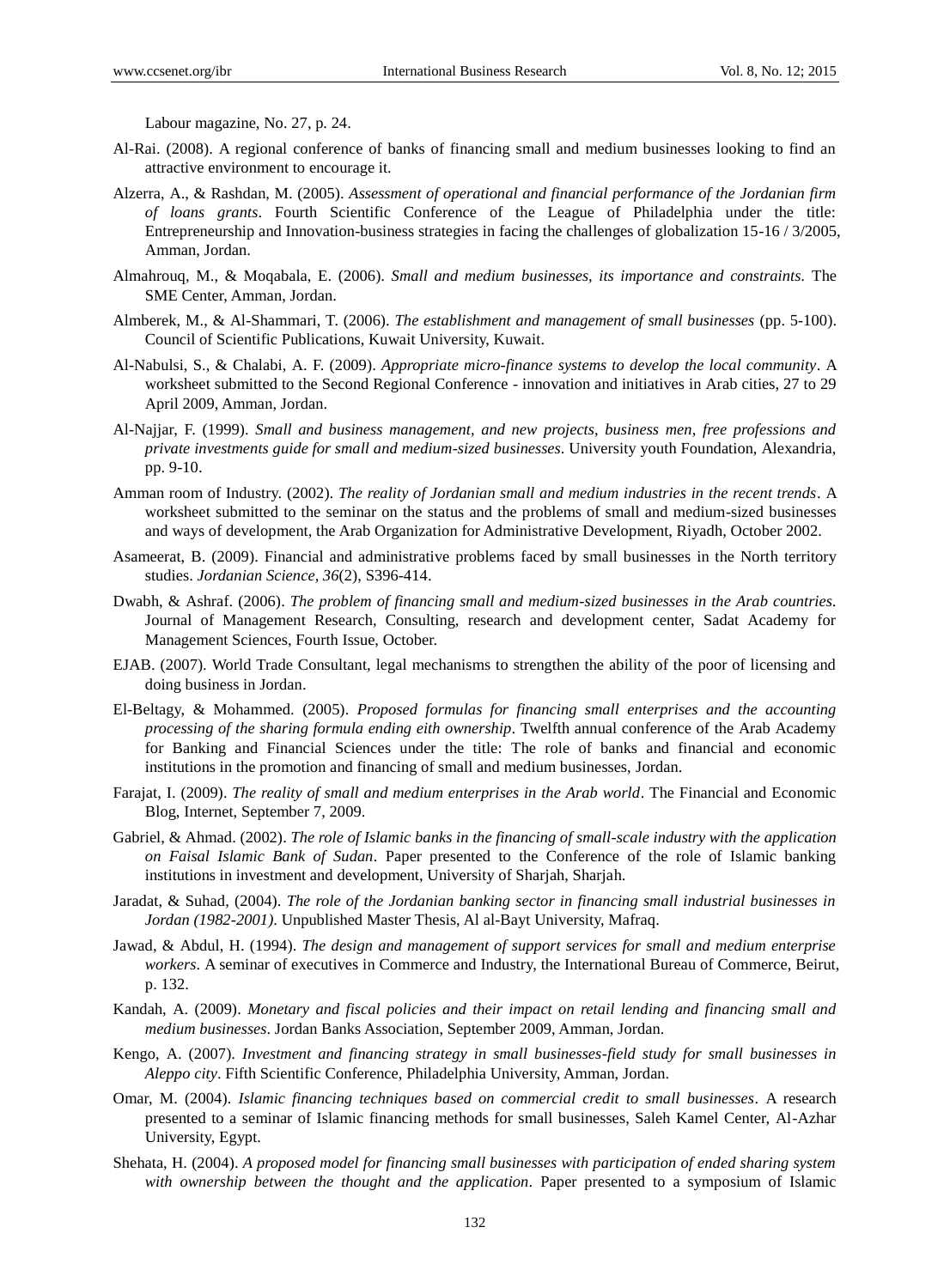Labour magazine, No. 27, p. 24.

- Al-Rai. (2008). A regional conference of banks of financing small and medium businesses looking to find an attractive environment to encourage it.
- Alzerra, A., & Rashdan, M. (2005). *Assessment of operational and financial performance of the Jordanian firm of loans grants*. Fourth Scientific Conference of the League of Philadelphia under the title: Entrepreneurship and Innovation-business strategies in facing the challenges of globalization 15-16 / 3/2005, Amman, Jordan.
- Almahrouq, M., & Moqabala, E. (2006). *Small and medium businesses, its importance and constraints.* The SME Center, Amman, Jordan.
- Almberek, M., & Al-Shammari, T. (2006). *The establishment and management of small businesses* (pp. 5-100). Council of Scientific Publications, Kuwait University, Kuwait.
- Al-Nabulsi, S., & Chalabi, A. F. (2009). *Appropriate micro-finance systems to develop the local community*. A worksheet submitted to the Second Regional Conference - innovation and initiatives in Arab cities, 27 to 29 April 2009, Amman, Jordan.
- Al-Najjar, F. (1999). *Small and business management, and new projects, business men, free professions and private investments guide for small and medium-sized businesses*. University youth Foundation, Alexandria, pp. 9-10.
- Amman room of Industry. (2002). *The reality of Jordanian small and medium industries in the recent trends*. A worksheet submitted to the seminar on the status and the problems of small and medium-sized businesses and ways of development, the Arab Organization for Administrative Development, Riyadh, October 2002.
- Asameerat, B. (2009). Financial and administrative problems faced by small businesses in the North territory studies. *Jordanian Science, 36*(2), S396-414.
- Dwabh, & Ashraf. (2006). *The problem of financing small and medium-sized businesses in the Arab countries.* Journal of Management Research, Consulting, research and development center, Sadat Academy for Management Sciences, Fourth Issue, October.
- EJAB. (2007). World Trade Consultant, legal mechanisms to strengthen the ability of the poor of licensing and doing business in Jordan.
- El-Beltagy, & Mohammed. (2005). *Proposed formulas for financing small enterprises and the accounting processing of the sharing formula ending eith ownership.* Twelfth annual conference of the Arab Academy for Banking and Financial Sciences under the title: The role of banks and financial and economic institutions in the promotion and financing of small and medium businesses, Jordan.
- Farajat, I. (2009). *The reality of small and medium enterprises in the Arab world*. The Financial and Economic Blog, Internet, September 7, 2009.
- Gabriel, & Ahmad. (2002). *The role of Islamic banks in the financing of small-scale industry with the application on Faisal Islamic Bank of Sudan*. Paper presented to the Conference of the role of Islamic banking institutions in investment and development, University of Sharjah, Sharjah.
- Jaradat, & Suhad, (2004). *The role of the Jordanian banking sector in financing small industrial businesses in Jordan (1982-2001)*. Unpublished Master Thesis, Al al-Bayt University, Mafraq.
- Jawad, & Abdul, H. (1994). *The design and management of support services for small and medium enterprise workers*. A seminar of executives in Commerce and Industry, the International Bureau of Commerce, Beirut, p. 132.
- Kandah, A. (2009). *Monetary and fiscal policies and their impact on retail lending and financing small and medium businesses*. Jordan Banks Association, September 2009, Amman, Jordan.
- Kengo, A. (2007). *Investment and financing strategy in small businesses-field study for small businesses in Aleppo city*. Fifth Scientific Conference, Philadelphia University, Amman, Jordan.
- Omar, M. (2004). *Islamic financing techniques based on commercial credit to small businesses*. A research presented to a seminar of Islamic financing methods for small businesses, Saleh Kamel Center, Al-Azhar University, Egypt.
- Shehata, H. (2004). *A proposed model for financing small businesses with participation of ended sharing system with ownership between the thought and the application*. Paper presented to a symposium of Islamic